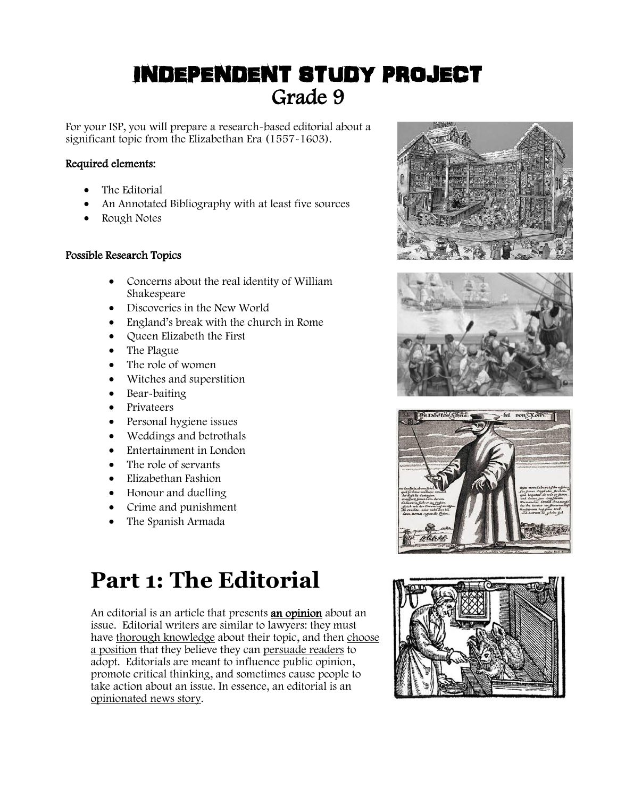# INDEPENDENT STUDY PROJECT Grade 9

For your ISP, you will prepare a research-based editorial about a significant topic from the Elizabethan Era (1557-1603).

## Required elements:

- The Editorial
- An Annotated Bibliography with at least five sources
- Rough Notes

### Possible Research Topics

- Concerns about the real identity of William Shakespeare
- Discoveries in the New World
- England's break with the church in Rome
- Queen Elizabeth the First
- The Plague
- The role of women
- Witches and superstition
- Bear-baiting
- Privateers
- Personal hygiene issues
- Weddings and betrothals
- Entertainment in London
- The role of servants
- Elizabethan Fashion
- Honour and duelling
- Crime and punishment
- The Spanish Armada

# **Part 1: The Editorial**

An editorial is an article that presents **an opinion** about an issue. Editorial writers are similar to lawyers: they must have thorough knowledge about their topic, and then choose a position that they believe they can persuade readers to adopt. Editorials are meant to influence public opinion, promote critical thinking, and sometimes cause people to take action about an issue. In essence, an editorial is an opinionated news story.







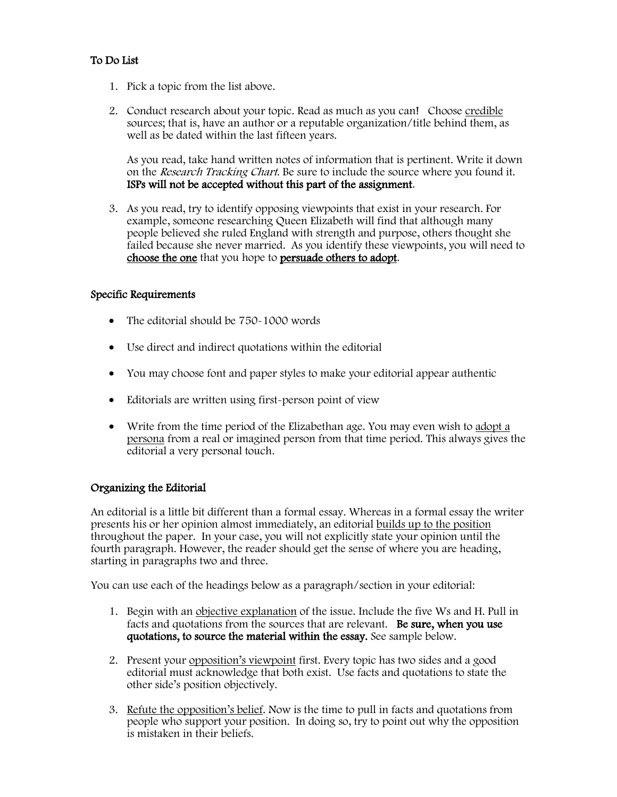## To Do List

- 1. Pick a topic from the list above.
- 2. Conduct research about your topic. Read as much as you can! Choose credible sources; that is, have an author or a reputable organization/title behind them, as well as be dated within the last fifteen years.

As you read, take hand written notes of information that is pertinent. Write it down on the Research Tracking Chart. Be sure to include the source where you found it. ISPs will not be accepted without this part of the assignment.

3. As you read, try to identify opposing viewpoints that exist in your research. For example, someone researching Queen Elizabeth will find that although many people believed she ruled England with strength and purpose, others thought she failed because she never married. As you identify these viewpoints, you will need to choose the one that you hope to persuade others to adopt.

#### Specific Requirements

- The editorial should be 750-1000 words
- Use direct and indirect quotations within the editorial
- You may choose font and paper styles to make your editorial appear authentic
- Editorials are written using first-person point of view
- Write from the time period of the Elizabethan age. You may even wish to  $\frac{adopt a}{a}$ persona from a real or imagined person from that time period. This always gives the editorial a very personal touch.

#### Organizing the Editorial

An editorial is a little bit different than a formal essay. Whereas in a formal essay the writer presents his or her opinion almost immediately, an editorial builds up to the position throughout the paper. In your case, you will not explicitly state your opinion until the fourth paragraph. However, the reader should get the sense of where you are heading, starting in paragraphs two and three.

You can use each of the headings below as a paragraph/section in your editorial:

- 1. Begin with an objective explanation of the issue. Include the five Ws and H. Pull in facts and quotations from the sources that are relevant. Be sure, when you use quotations, to source the material within the essay. See sample below.
- 2. Present your opposition's viewpoint first. Every topic has two sides and a good editorial must acknowledge that both exist. Use facts and quotations to state the other side's position objectively.
- 3. Refute the opposition's belief. Now is the time to pull in facts and quotations from people who support your position. In doing so, try to point out why the opposition is mistaken in their beliefs.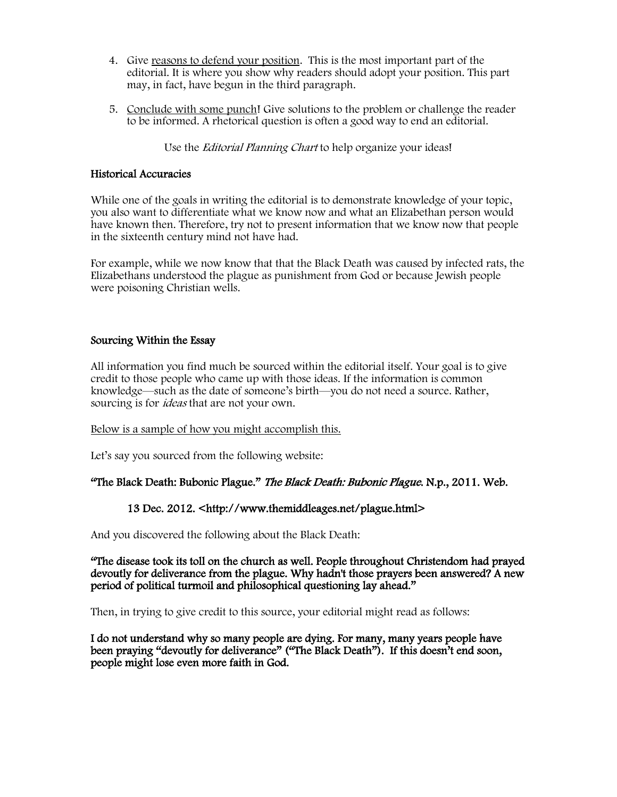- 4. Give reasons to defend your position. This is the most important part of the editorial. It is where you show why readers should adopt your position. This part may, in fact, have begun in the third paragraph.
- 5. Conclude with some punch! Give solutions to the problem or challenge the reader to be informed. A rhetorical question is often a good way to end an editorial.

Use the *Editorial Planning Chart* to help organize your ideas!

#### Historical Accuracies

While one of the goals in writing the editorial is to demonstrate knowledge of your topic, you also want to differentiate what we know now and what an Elizabethan person would have known then. Therefore, try not to present information that we know now that people in the sixteenth century mind not have had.

For example, while we now know that that the Black Death was caused by infected rats, the Elizabethans understood the plague as punishment from God or because Jewish people were poisoning Christian wells.

#### Sourcing Within the Essay

All information you find much be sourced within the editorial itself. Your goal is to give credit to those people who came up with those ideas. If the information is common knowledge—such as the date of someone's birth—you do not need a source. Rather, sourcing is for *ideas* that are not your own.

#### Below is a sample of how you might accomplish this.

Let's say you sourced from the following website:

#### "The Black Death: Bubonic Plague." The Black Death: Bubonic Plague. N.p., 2011. Web.

#### 13 Dec. 2012. <http://www.themiddleages.net/plague.html>

And you discovered the following about the Black Death:

"The disease took its toll on the church as well. People throughout Christendom had prayed devoutly for deliverance from the plague. Why hadn't those prayers been answered? A new period of political turmoil and philosophical questioning lay ahead."

Then, in trying to give credit to this source, your editorial might read as follows:

I do not understand why so many people are dying. For many, many years people have been praying "devoutly for deliverance" ("The Black Death"). If this doesn't end soon, people might lose even more faith in God.